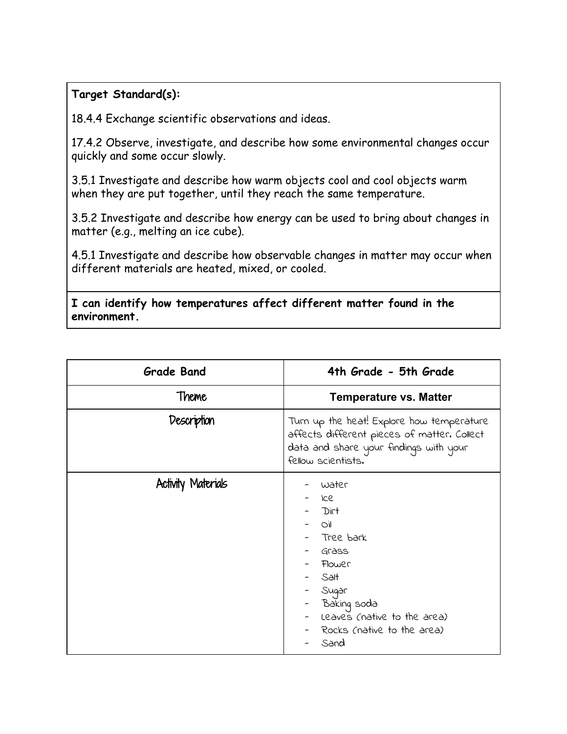## **Target Standard(s):**

18.4.4 Exchange scientific observations and ideas.

17.4.2 Observe, investigate, and describe how some environmental changes occur quickly and some occur slowly.

3.5.1 Investigate and describe how warm objects cool and cool objects warm when they are put together, until they reach the same temperature.

3.5.2 Investigate and describe how energy can be used to bring about changes in matter (e.g., melting an ice cube).

4.5.1 Investigate and describe how observable changes in matter may occur when different materials are heated, mixed, or cooled.

**I can identify how temperatures affect different matter found in the environment.**

| <b>Grade Band</b>         | 4th Grade - 5th Grade                                                                                                                                                     |
|---------------------------|---------------------------------------------------------------------------------------------------------------------------------------------------------------------------|
| Theme                     | <b>Temperature vs. Matter</b>                                                                                                                                             |
| Description               | Turn up the heat! Explore how temperature<br>affects different pieces of matter. Collect<br>data and share your findings with your<br>fellow scientists.                  |
| <b>Activity Materials</b> | water<br>Ice<br>Dirt<br><b>DOM</b><br>Tree bark<br>Grass<br>Flower<br>Salt<br>Sugar<br>- Baking soda<br>Leaves (native to the area)<br>Rocks (native to the area)<br>Sand |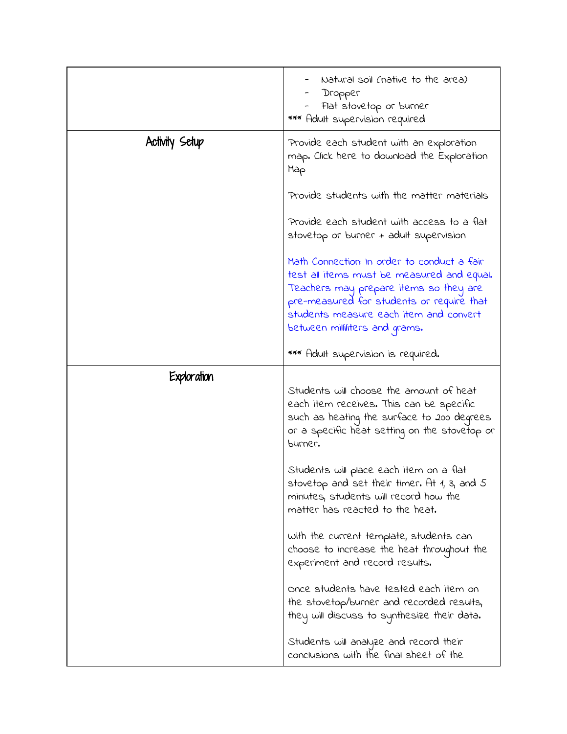|                | Natural soil (native to the area)<br>Dropper<br>Flat stovetop or burner<br>*** Adult supervision required                                                                                                                                                    |
|----------------|--------------------------------------------------------------------------------------------------------------------------------------------------------------------------------------------------------------------------------------------------------------|
| Activity Setup | Provide each student with an exploration<br>map. Click here to download the Exploration<br>Map                                                                                                                                                               |
|                | Provide students with the matter materials                                                                                                                                                                                                                   |
|                | Provide each student with access to a flat<br>stovetop or burner + adult supervision                                                                                                                                                                         |
|                | Math Connection: In order to conduct a fair<br>test all items must be measured and equal.<br>Teachers may prepare items so they are<br>pre-measured for students or require that<br>students measure each item and convert<br>between milliliters and grams. |
|                | *** Adult supervision is required.                                                                                                                                                                                                                           |
| Exploration    | Students will choose the amount of heat<br>each item receives. This can be specific<br>such as heating the surface to 200 degrees<br>or a specific heat setting on the stovetop or<br>purner.                                                                |
|                | Students will place each item on a flat<br>stovetop and set their timer. At 1, 3, and 5<br>minutes, students will record how the<br>matter has reacted to the heat.                                                                                          |
|                | with the current template, students can<br>choose to increase the heat throughout the<br>experiment and record results.                                                                                                                                      |
|                | once students have tested each item on<br>the stovetop/burner and recorded results,<br>they will discuss to synthesize their data.                                                                                                                           |
|                | Students will analyze and record their<br>conclusions with the final sheet of the                                                                                                                                                                            |